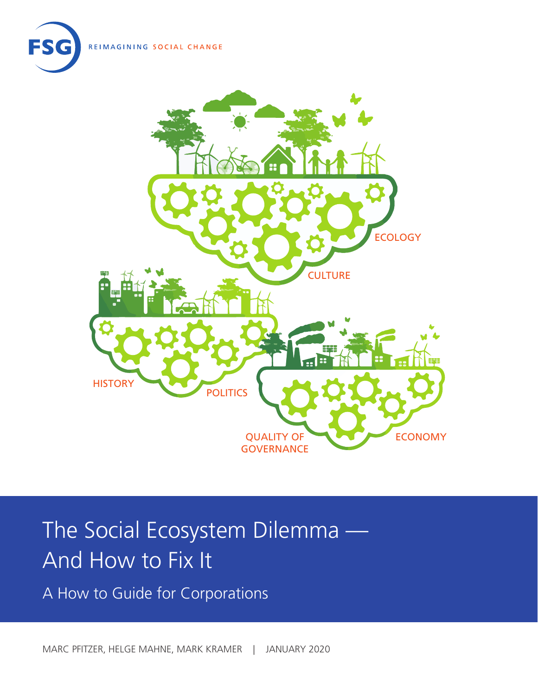REIMAGINING SOCIAL CHANGE





# The Social Ecosystem Dilemma — And How to Fix It

A How to Guide for Corporations

MARC PFITZER, HELGE MAHNE, MARK KRAMER | JANUARY 2020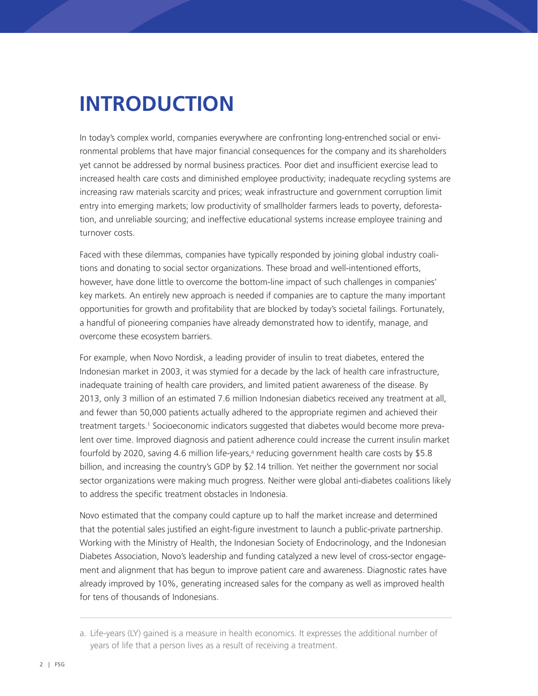# **INTRODUCTION**

In today's complex world, companies everywhere are confronting long-entrenched social or environmental problems that have major financial consequences for the company and its shareholders yet cannot be addressed by normal business practices. Poor diet and insufficient exercise lead to increased health care costs and diminished employee productivity; inadequate recycling systems are increasing raw materials scarcity and prices; weak infrastructure and government corruption limit entry into emerging markets; low productivity of smallholder farmers leads to poverty, deforestation, and unreliable sourcing; and ineffective educational systems increase employee training and turnover costs.

Faced with these dilemmas, companies have typically responded by joining global industry coalitions and donating to social sector organizations. These broad and well-intentioned efforts, however, have done little to overcome the bottom-line impact of such challenges in companies' key markets. An entirely new approach is needed if companies are to capture the many important opportunities for growth and profitability that are blocked by today's societal failings. Fortunately, a handful of pioneering companies have already demonstrated how to identify, manage, and overcome these ecosystem barriers.

For example, when Novo Nordisk, a leading provider of insulin to treat diabetes, entered the Indonesian market in 2003, it was stymied for a decade by the lack of health care infrastructure, inadequate training of health care providers, and limited patient awareness of the disease. By 2013, only 3 million of an estimated 7.6 million Indonesian diabetics received any treatment at all, and fewer than 50,000 patients actually adhered to the appropriate regimen and achieved their treatment targets.<sup>1</sup> Socioeconomic indicators suggested that diabetes would become more prevalent over time. Improved diagnosis and patient adherence could increase the current insulin market fourfold by 2020, saving 4.6 million life-years,<sup>a</sup> reducing government health care costs by \$5.8 billion, and increasing the country's GDP by \$2.14 trillion. Yet neither the government nor social sector organizations were making much progress. Neither were global anti-diabetes coalitions likely to address the specific treatment obstacles in Indonesia.

Novo estimated that the company could capture up to half the market increase and determined that the potential sales justified an eight-figure investment to launch a public-private partnership. Working with the Ministry of Health, the Indonesian Society of Endocrinology, and the Indonesian Diabetes Association, Novo's leadership and funding catalyzed a new level of cross-sector engagement and alignment that has begun to improve patient care and awareness. Diagnostic rates have already improved by 10%, generating increased sales for the company as well as improved health for tens of thousands of Indonesians.

a. Life-years (LY) gained is a measure in health economics. It expresses the additional number of years of life that a person lives as a result of receiving a treatment.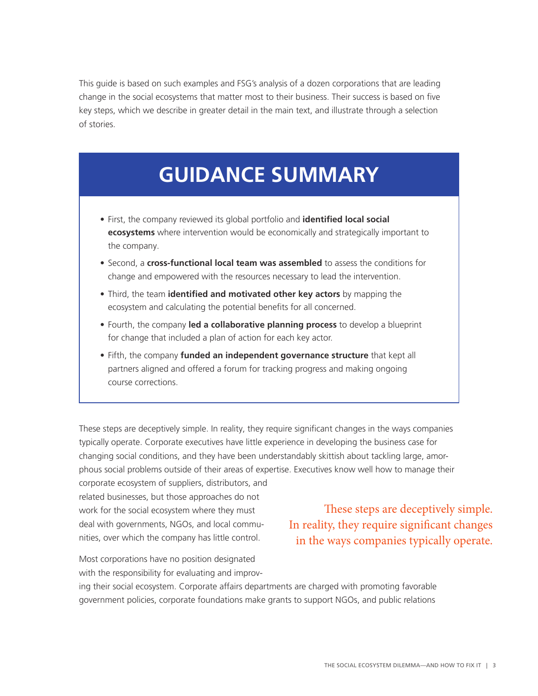This guide is based on such examples and FSG's analysis of a dozen corporations that are leading change in the social ecosystems that matter most to their business. Their success is based on five key steps, which we describe in greater detail in the main text, and illustrate through a selection of stories.

## **GUIDANCE SUMMARY**

- First, the company reviewed its global portfolio and **identified local social ecosystems** where intervention would be economically and strategically important to the company.
- Second, a **cross-functional local team was assembled** to assess the conditions for change and empowered with the resources necessary to lead the intervention.
- Third, the team **identified and motivated other key actors** by mapping the ecosystem and calculating the potential benefits for all concerned.
- Fourth, the company **led a collaborative planning process** to develop a blueprint for change that included a plan of action for each key actor.
- Fifth, the company **funded an independent governance structure** that kept all partners aligned and offered a forum for tracking progress and making ongoing course corrections.

These steps are deceptively simple. In reality, they require significant changes in the ways companies typically operate. Corporate executives have little experience in developing the business case for changing social conditions, and they have been understandably skittish about tackling large, amorphous social problems outside of their areas of expertise. Executives know well how to manage their

corporate ecosystem of suppliers, distributors, and related businesses, but those approaches do not work for the social ecosystem where they must deal with governments, NGOs, and local communities, over which the company has little control.

These steps are deceptively simple. In reality, they require significant changes in the ways companies typically operate.

Most corporations have no position designated with the responsibility for evaluating and improv-

ing their social ecosystem. Corporate affairs departments are charged with promoting favorable government policies, corporate foundations make grants to support NGOs, and public relations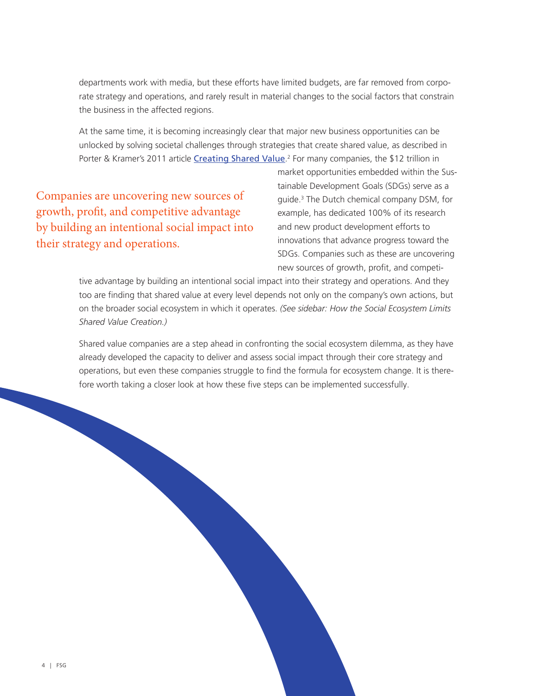departments work with media, but these efforts have limited budgets, are far removed from corporate strategy and operations, and rarely result in material changes to the social factors that constrain the business in the affected regions.

At the same time, it is becoming increasingly clear that major new business opportunities can be unlocked by solving societal challenges through strategies that create shared value, as described in Porter & Kramer's 2011 article [Creating Shared Value](https://www.fsg.org/publications/creating-shared-value).<sup>2</sup> For many companies, the \$12 trillion in

Companies are uncovering new sources of growth, profit, and competitive advantage by building an intentional social impact into their strategy and operations.

market opportunities embedded within the Sustainable Development Goals (SDGs) serve as a guide.3 The Dutch chemical company DSM, for example, has dedicated 100% of its research and new product development efforts to innovations that advance progress toward the SDGs. Companies such as these are uncovering new sources of growth, profit, and competi-

tive advantage by building an intentional social impact into their strategy and operations. And they too are finding that shared value at every level depends not only on the company's own actions, but on the broader social ecosystem in which it operates. *(See sidebar: How the Social Ecosystem Limits Shared Value Creation.)*

Shared value companies are a step ahead in confronting the social ecosystem dilemma, as they have already developed the capacity to deliver and assess social impact through their core strategy and operations, but even these companies struggle to find the formula for ecosystem change. It is therefore worth taking a closer look at how these five steps can be implemented successfully.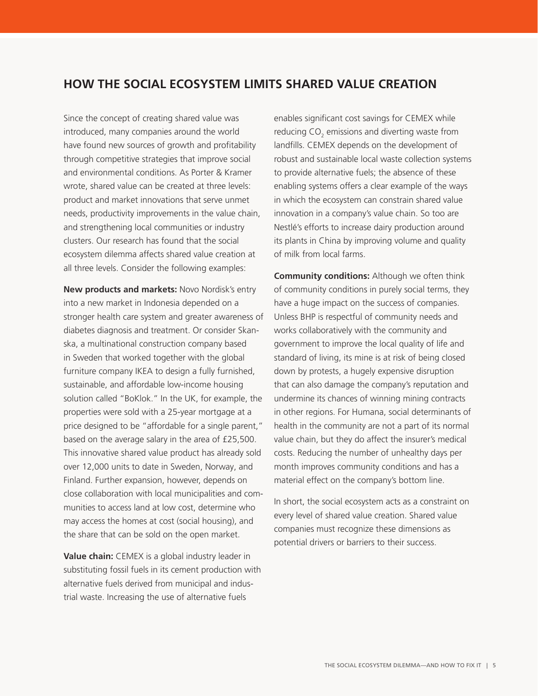### **HOW THE SOCIAL ECOSYSTEM LIMITS SHARED VALUE CREATION**

Since the concept of creating shared value was introduced, many companies around the world have found new sources of growth and profitability through competitive strategies that improve social and environmental conditions. As Porter & Kramer wrote, shared value can be created at three levels: product and market innovations that serve unmet needs, productivity improvements in the value chain, and strengthening local communities or industry clusters. Our research has found that the social ecosystem dilemma affects shared value creation at all three levels. Consider the following examples:

**New products and markets:** Novo Nordisk's entry into a new market in Indonesia depended on a stronger health care system and greater awareness of diabetes diagnosis and treatment. Or consider Skanska, a multinational construction company based in Sweden that worked together with the global furniture company IKEA to design a fully furnished, sustainable, and affordable low-income housing solution called "BoKlok." In the UK, for example, the properties were sold with a 25-year mortgage at a price designed to be "affordable for a single parent," based on the average salary in the area of £25,500. This innovative shared value product has already sold over 12,000 units to date in Sweden, Norway, and Finland. Further expansion, however, depends on close collaboration with local municipalities and communities to access land at low cost, determine who may access the homes at cost (social housing), and the share that can be sold on the open market.

**Value chain:** CEMEX is a global industry leader in substituting fossil fuels in its cement production with alternative fuels derived from municipal and industrial waste. Increasing the use of alternative fuels

enables significant cost savings for CEMEX while reducing CO<sub>2</sub> emissions and diverting waste from landfills. CEMEX depends on the development of robust and sustainable local waste collection systems to provide alternative fuels; the absence of these enabling systems offers a clear example of the ways in which the ecosystem can constrain shared value innovation in a company's value chain. So too are Nestlé's efforts to increase dairy production around its plants in China by improving volume and quality of milk from local farms.

**Community conditions:** Although we often think of community conditions in purely social terms, they have a huge impact on the success of companies. Unless BHP is respectful of community needs and works collaboratively with the community and government to improve the local quality of life and standard of living, its mine is at risk of being closed down by protests, a hugely expensive disruption that can also damage the company's reputation and undermine its chances of winning mining contracts in other regions. For Humana, social determinants of health in the community are not a part of its normal value chain, but they do affect the insurer's medical costs. Reducing the number of unhealthy days per month improves community conditions and has a material effect on the company's bottom line.

In short, the social ecosystem acts as a constraint on every level of shared value creation. Shared value companies must recognize these dimensions as potential drivers or barriers to their success.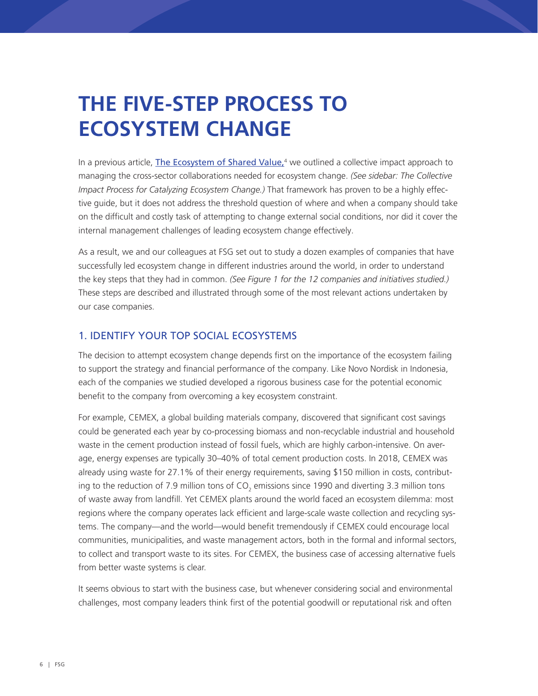# **THE FIVE-STEP PROCESS TO ECOSYSTEM CHANGE**

In a previous article, *The Ecosystem of Shared Value*,<sup>4</sup> we outlined a collective impact approach to managing the cross-sector collaborations needed for ecosystem change. *(See sidebar: The Collective Impact Process for Catalyzing Ecosystem Change.)* That framework has proven to be a highly effective guide, but it does not address the threshold question of where and when a company should take on the difficult and costly task of attempting to change external social conditions, nor did it cover the internal management challenges of leading ecosystem change effectively.

As a result, we and our colleagues at FSG set out to study a dozen examples of companies that have successfully led ecosystem change in different industries around the world, in order to understand the key steps that they had in common. *(See Figure 1 for the 12 companies and initiatives studied.)* These steps are described and illustrated through some of the most relevant actions undertaken by our case companies.

#### 1. IDENTIFY YOUR TOP SOCIAL ECOSYSTEMS

The decision to attempt ecosystem change depends first on the importance of the ecosystem failing to support the strategy and financial performance of the company. Like Novo Nordisk in Indonesia, each of the companies we studied developed a rigorous business case for the potential economic benefit to the company from overcoming a key ecosystem constraint.

For example, CEMEX, a global building materials company, discovered that significant cost savings could be generated each year by co-processing biomass and non-recyclable industrial and household waste in the cement production instead of fossil fuels, which are highly carbon-intensive. On average, energy expenses are typically 30–40% of total cement production costs. In 2018, CEMEX was already using waste for 27.1% of their energy requirements, saving \$150 million in costs, contributing to the reduction of 7.9 million tons of CO<sub>2</sub> emissions since 1990 and diverting 3.3 million tons of waste away from landfill. Yet CEMEX plants around the world faced an ecosystem dilemma: most regions where the company operates lack efficient and large-scale waste collection and recycling systems. The company—and the world—would benefit tremendously if CEMEX could encourage local communities, municipalities, and waste management actors, both in the formal and informal sectors, to collect and transport waste to its sites. For CEMEX, the business case of accessing alternative fuels from better waste systems is clear.

It seems obvious to start with the business case, but whenever considering social and environmental challenges, most company leaders think first of the potential goodwill or reputational risk and often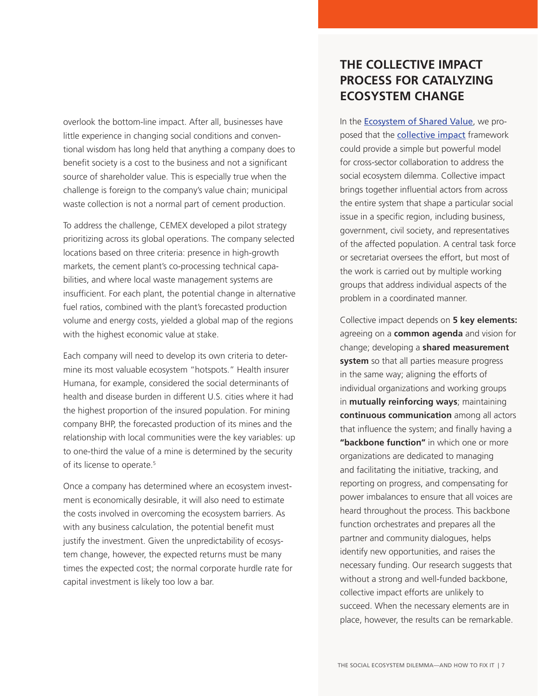overlook the bottom-line impact. After all, businesses have little experience in changing social conditions and conventional wisdom has long held that anything a company does to benefit society is a cost to the business and not a significant source of shareholder value. This is especially true when the challenge is foreign to the company's value chain; municipal waste collection is not a normal part of cement production.

To address the challenge, CEMEX developed a pilot strategy prioritizing across its global operations. The company selected locations based on three criteria: presence in high-growth markets, the cement plant's co-processing technical capabilities, and where local waste management systems are insufficient. For each plant, the potential change in alternative fuel ratios, combined with the plant's forecasted production volume and energy costs, yielded a global map of the regions with the highest economic value at stake.

Each company will need to develop its own criteria to determine its most valuable ecosystem "hotspots." Health insurer Humana, for example, considered the social determinants of health and disease burden in different U.S. cities where it had the highest proportion of the insured population. For mining company BHP, the forecasted production of its mines and the relationship with local communities were the key variables: up to one-third the value of a mine is determined by the security of its license to operate.<sup>5</sup>

Once a company has determined where an ecosystem investment is economically desirable, it will also need to estimate the costs involved in overcoming the ecosystem barriers. As with any business calculation, the potential benefit must justify the investment. Given the unpredictability of ecosystem change, however, the expected returns must be many times the expected cost; the normal corporate hurdle rate for capital investment is likely too low a bar.

## **THE COLLECTIVE IMPACT PROCESS FOR CATALYZING ECOSYSTEM CHANGE**

In the [Ecosystem of Shared Value](https://www.fsg.org/publications/ecosystem-shared-value), we proposed that the **[collective impact](https://www.fsg.org/publications/collective-impact)** framework could provide a simple but powerful model for cross-sector collaboration to address the social ecosystem dilemma. Collective impact brings together influential actors from across the entire system that shape a particular social issue in a specific region, including business, government, civil society, and representatives of the affected population. A central task force or secretariat oversees the effort, but most of the work is carried out by multiple working groups that address individual aspects of the problem in a coordinated manner.

Collective impact depends on **5 key elements:**  agreeing on a **common agenda** and vision for change; developing a **shared measurement system** so that all parties measure progress in the same way; aligning the efforts of individual organizations and working groups in **mutually reinforcing ways**; maintaining **continuous communication** among all actors that influence the system; and finally having a **"backbone function"** in which one or more organizations are dedicated to managing and facilitating the initiative, tracking, and reporting on progress, and compensating for power imbalances to ensure that all voices are heard throughout the process. This backbone function orchestrates and prepares all the partner and community dialogues, helps identify new opportunities, and raises the necessary funding. Our research suggests that without a strong and well-funded backbone, collective impact efforts are unlikely to succeed. When the necessary elements are in place, however, the results can be remarkable.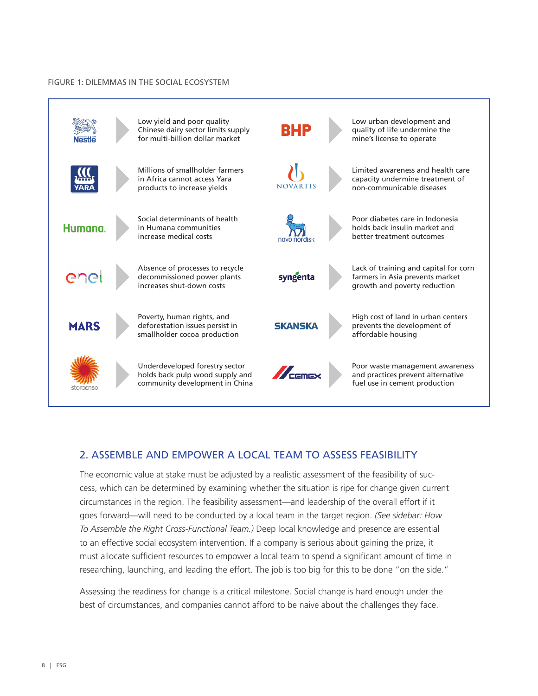#### FIGURE 1: DILEMMAS IN THE SOCIAL ECOSYSTEM



### 2. ASSEMBLE AND EMPOWER A LOCAL TEAM TO ASSESS FEASIBILITY

The economic value at stake must be adjusted by a realistic assessment of the feasibility of success, which can be determined by examining whether the situation is ripe for change given current circumstances in the region. The feasibility assessment—and leadership of the overall effort if it goes forward—will need to be conducted by a local team in the target region. *(See sidebar: How To Assemble the Right Cross-Functional Team.)* Deep local knowledge and presence are essential to an effective social ecosystem intervention. If a company is serious about gaining the prize, it must allocate sufficient resources to empower a local team to spend a significant amount of time in researching, launching, and leading the effort. The job is too big for this to be done "on the side."

Assessing the readiness for change is a critical milestone. Social change is hard enough under the best of circumstances, and companies cannot afford to be naive about the challenges they face.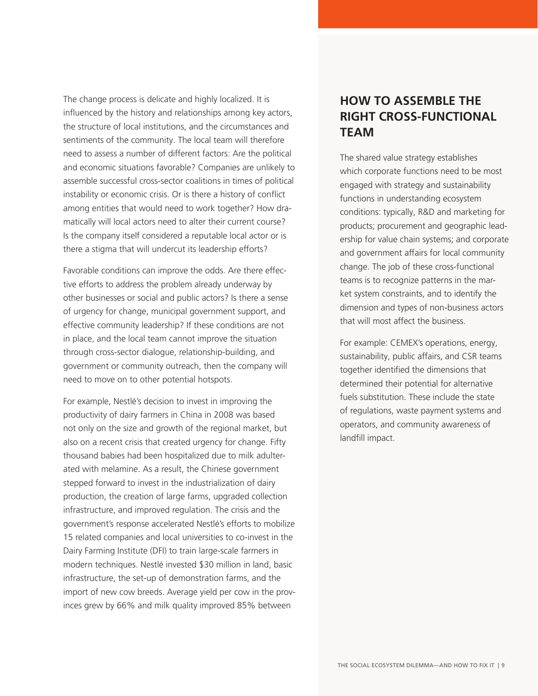The change process is delicate and highly localized. It is influenced by the history and relationships among key actors, the structure of local institutions, and the circumstances and sentiments of the community. The local team will therefore need to assess a number of different factors: Are the political and economic situations favorable? Companies are unlikely to assemble successful cross-sector coalitions in times of political instability or economic crisis. Or is there a history of conflict among entities that would need to work together? How dramatically will local actors need to alter their current course? Is the company itself considered a reputable local actor or is there a stigma that will undercut its leadership efforts?

Favorable conditions can improve the odds. Are there effective efforts to address the problem already underway by other businesses or social and public actors? Is there a sense of urgency for change, municipal government support, and effective community leadership? If these conditions are not in place, and the local team cannot improve the situation through cross-sector dialogue, relationship-building, and government or community outreach, then the company will need to move on to other potential hotspots.

For example, Nestlé's decision to invest in improving the productivity of dairy farmers in China in 2008 was based not only on the size and growth of the regional market, but also on a recent crisis that created urgency for change. Fifty thousand babies had been hospitalized due to milk adulterated with melamine. As a result, the Chinese government stepped forward to invest in the industrialization of dairy production, the creation of large farms, upgraded collection infrastructure, and improved regulation. The crisis and the government's response accelerated Nestlé's efforts to mobilize 15 related companies and local universities to co-invest in the Dairy Farming Institute (DFI) to train large-scale farmers in modern techniques. Nestlé invested \$30 million in land, basic infrastructure, the set-up of demonstration farms, and the import of new cow breeds. Average yield per cow in the provinces grew by 66% and milk quality improved 85% between

### **HOW TO ASSEMBLE THE RIGHT CROSS-FUNCTIONAL TEAM**

The shared value strategy establishes which corporate functions need to be most engaged with strategy and sustainability functions in understanding ecosystem conditions: typically, R&D and marketing for products; procurement and geographic leadership for value chain systems; and corporate and government affairs for local community change. The job of these cross-functional teams is to recognize patterns in the market system constraints, and to identify the dimension and types of non-business actors that will most affect the business.

For example: CEMEX's operations, energy, sustainability, public affairs, and CSR teams together identified the dimensions that determined their potential for alternative fuels substitution. These include the state of regulations, waste payment systems and operators, and community awareness of landfill impact.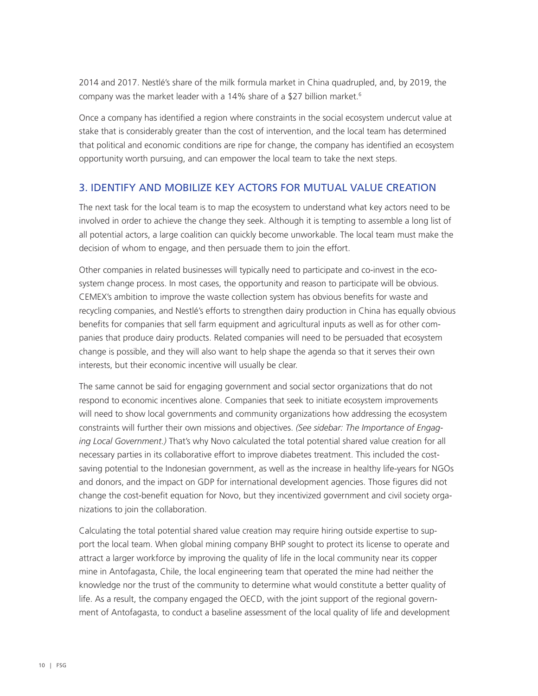2014 and 2017. Nestlé's share of the milk formula market in China quadrupled, and, by 2019, the company was the market leader with a 14% share of a \$27 billion market.<sup>6</sup>

Once a company has identified a region where constraints in the social ecosystem undercut value at stake that is considerably greater than the cost of intervention, and the local team has determined that political and economic conditions are ripe for change, the company has identified an ecosystem opportunity worth pursuing, and can empower the local team to take the next steps.

#### 3. IDENTIFY AND MOBILIZE KEY ACTORS FOR MUTUAL VALUE CREATION

The next task for the local team is to map the ecosystem to understand what key actors need to be involved in order to achieve the change they seek. Although it is tempting to assemble a long list of all potential actors, a large coalition can quickly become unworkable. The local team must make the decision of whom to engage, and then persuade them to join the effort.

Other companies in related businesses will typically need to participate and co-invest in the ecosystem change process. In most cases, the opportunity and reason to participate will be obvious. CEMEX's ambition to improve the waste collection system has obvious benefits for waste and recycling companies, and Nestlé's efforts to strengthen dairy production in China has equally obvious benefits for companies that sell farm equipment and agricultural inputs as well as for other companies that produce dairy products. Related companies will need to be persuaded that ecosystem change is possible, and they will also want to help shape the agenda so that it serves their own interests, but their economic incentive will usually be clear.

The same cannot be said for engaging government and social sector organizations that do not respond to economic incentives alone. Companies that seek to initiate ecosystem improvements will need to show local governments and community organizations how addressing the ecosystem constraints will further their own missions and objectives. *(See sidebar: The Importance of Engaging Local Government.)* That's why Novo calculated the total potential shared value creation for all necessary parties in its collaborative effort to improve diabetes treatment. This included the costsaving potential to the Indonesian government, as well as the increase in healthy life-years for NGOs and donors, and the impact on GDP for international development agencies. Those figures did not change the cost-benefit equation for Novo, but they incentivized government and civil society organizations to join the collaboration.

Calculating the total potential shared value creation may require hiring outside expertise to support the local team. When global mining company BHP sought to protect its license to operate and attract a larger workforce by improving the quality of life in the local community near its copper mine in Antofagasta, Chile, the local engineering team that operated the mine had neither the knowledge nor the trust of the community to determine what would constitute a better quality of life. As a result, the company engaged the OECD, with the joint support of the regional government of Antofagasta, to conduct a baseline assessment of the local quality of life and development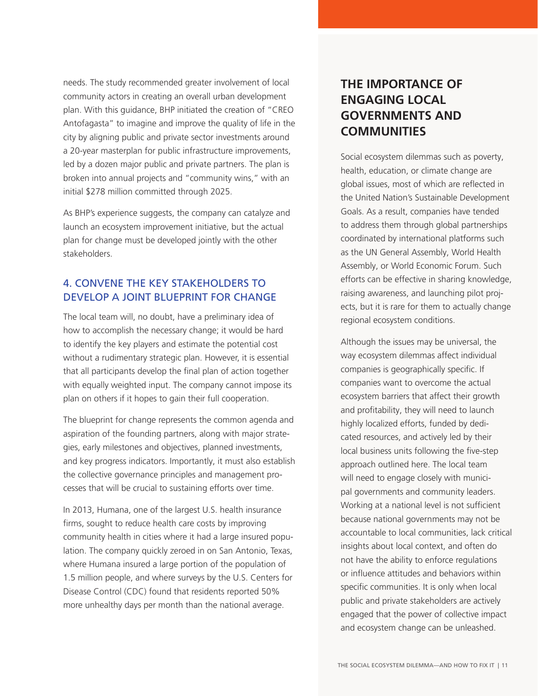needs. The study recommended greater involvement of local community actors in creating an overall urban development plan. With this guidance, BHP initiated the creation of "CREO Antofagasta" to imagine and improve the quality of life in the city by aligning public and private sector investments around a 20-year masterplan for public infrastructure improvements, led by a dozen major public and private partners. The plan is broken into annual projects and "community wins," with an initial \$278 million committed through 2025.

As BHP's experience suggests, the company can catalyze and launch an ecosystem improvement initiative, but the actual plan for change must be developed jointly with the other stakeholders.

### 4. CONVENE THE KEY STAKEHOLDERS TO DEVELOP A JOINT BLUEPRINT FOR CHANGE

The local team will, no doubt, have a preliminary idea of how to accomplish the necessary change; it would be hard to identify the key players and estimate the potential cost without a rudimentary strategic plan. However, it is essential that all participants develop the final plan of action together with equally weighted input. The company cannot impose its plan on others if it hopes to gain their full cooperation.

The blueprint for change represents the common agenda and aspiration of the founding partners, along with major strategies, early milestones and objectives, planned investments, and key progress indicators. Importantly, it must also establish the collective governance principles and management processes that will be crucial to sustaining efforts over time.

In 2013, Humana, one of the largest U.S. health insurance firms, sought to reduce health care costs by improving community health in cities where it had a large insured population. The company quickly zeroed in on San Antonio, Texas, where Humana insured a large portion of the population of 1.5 million people, and where surveys by the U.S. Centers for Disease Control (CDC) found that residents reported 50% more unhealthy days per month than the national average.

## **THE IMPORTANCE OF ENGAGING LOCAL GOVERNMENTS AND COMMUNITIES**

Social ecosystem dilemmas such as poverty, health, education, or climate change are global issues, most of which are reflected in the United Nation's Sustainable Development Goals. As a result, companies have tended to address them through global partnerships coordinated by international platforms such as the UN General Assembly, World Health Assembly, or World Economic Forum. Such efforts can be effective in sharing knowledge, raising awareness, and launching pilot projects, but it is rare for them to actually change regional ecosystem conditions.

Although the issues may be universal, the way ecosystem dilemmas affect individual companies is geographically specific. If companies want to overcome the actual ecosystem barriers that affect their growth and profitability, they will need to launch highly localized efforts, funded by dedicated resources, and actively led by their local business units following the five-step approach outlined here. The local team will need to engage closely with municipal governments and community leaders. Working at a national level is not sufficient because national governments may not be accountable to local communities, lack critical insights about local context, and often do not have the ability to enforce regulations or influence attitudes and behaviors within specific communities. It is only when local public and private stakeholders are actively engaged that the power of collective impact and ecosystem change can be unleashed.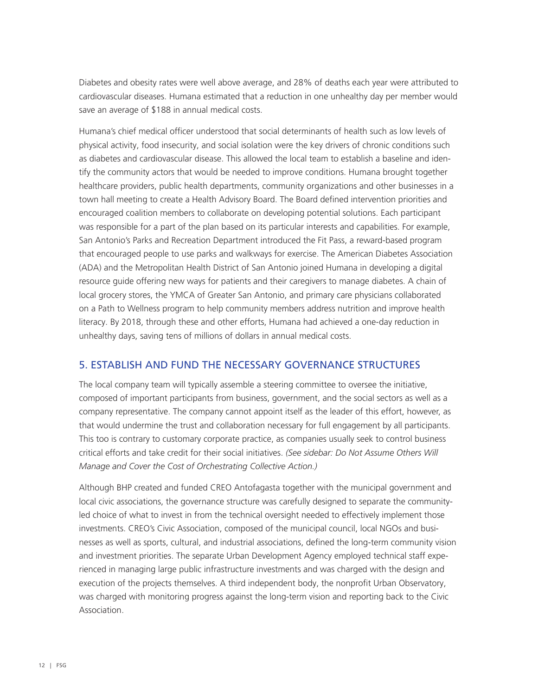Diabetes and obesity rates were well above average, and 28% of deaths each year were attributed to cardiovascular diseases. Humana estimated that a reduction in one unhealthy day per member would save an average of \$188 in annual medical costs.

Humana's chief medical officer understood that social determinants of health such as low levels of physical activity, food insecurity, and social isolation were the key drivers of chronic conditions such as diabetes and cardiovascular disease. This allowed the local team to establish a baseline and identify the community actors that would be needed to improve conditions. Humana brought together healthcare providers, public health departments, community organizations and other businesses in a town hall meeting to create a Health Advisory Board. The Board defined intervention priorities and encouraged coalition members to collaborate on developing potential solutions. Each participant was responsible for a part of the plan based on its particular interests and capabilities. For example, San Antonio's Parks and Recreation Department introduced the Fit Pass, a reward-based program that encouraged people to use parks and walkways for exercise. The American Diabetes Association (ADA) and the Metropolitan Health District of San Antonio joined Humana in developing a digital resource guide offering new ways for patients and their caregivers to manage diabetes. A chain of local grocery stores, the YMCA of Greater San Antonio, and primary care physicians collaborated on a Path to Wellness program to help community members address nutrition and improve health literacy. By 2018, through these and other efforts, Humana had achieved a one-day reduction in unhealthy days, saving tens of millions of dollars in annual medical costs.

### 5. ESTABLISH AND FUND THE NECESSARY GOVERNANCE STRUCTURES

The local company team will typically assemble a steering committee to oversee the initiative, composed of important participants from business, government, and the social sectors as well as a company representative. The company cannot appoint itself as the leader of this effort, however, as that would undermine the trust and collaboration necessary for full engagement by all participants. This too is contrary to customary corporate practice, as companies usually seek to control business critical efforts and take credit for their social initiatives. *(See sidebar: Do Not Assume Others Will Manage and Cover the Cost of Orchestrating Collective Action.)*

Although BHP created and funded CREO Antofagasta together with the municipal government and local civic associations, the governance structure was carefully designed to separate the communityled choice of what to invest in from the technical oversight needed to effectively implement those investments. CREO's Civic Association, composed of the municipal council, local NGOs and businesses as well as sports, cultural, and industrial associations, defined the long-term community vision and investment priorities. The separate Urban Development Agency employed technical staff experienced in managing large public infrastructure investments and was charged with the design and execution of the projects themselves. A third independent body, the nonprofit Urban Observatory, was charged with monitoring progress against the long-term vision and reporting back to the Civic Association.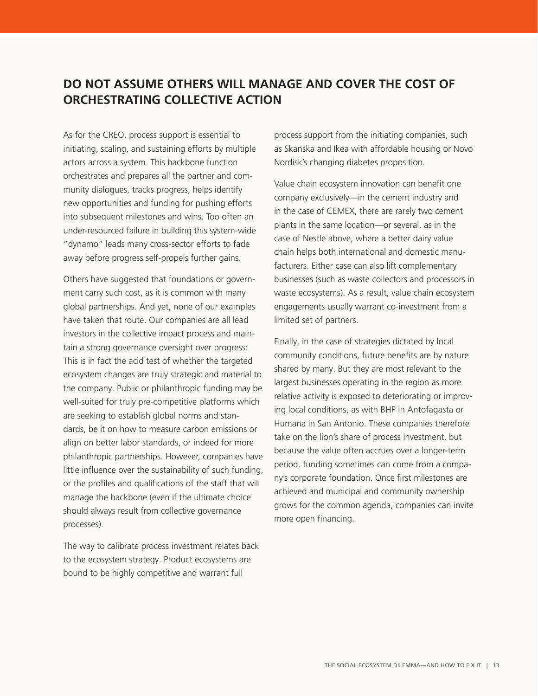## **DO NOT ASSUME OTHERS WILL MANAGE AND COVER THE COST OF ORCHESTRATING COLLECTIVE ACTION**

As for the CREO, process support is essential to initiating, scaling, and sustaining efforts by multiple actors across a system. This backbone function orchestrates and prepares all the partner and community dialogues, tracks progress, helps identify new opportunities and funding for pushing efforts into subsequent milestones and wins. Too often an under-resourced failure in building this system-wide "dynamo" leads many cross-sector efforts to fade away before progress self-propels further gains.

Others have suggested that foundations or government carry such cost, as it is common with many global partnerships. And yet, none of our examples have taken that route. Our companies are all lead investors in the collective impact process and maintain a strong governance oversight over progress: This is in fact the acid test of whether the targeted ecosystem changes are truly strategic and material to the company. Public or philanthropic funding may be well-suited for truly pre-competitive platforms which are seeking to establish global norms and standards, be it on how to measure carbon emissions or align on better labor standards, or indeed for more philanthropic partnerships. However, companies have little influence over the sustainability of such funding, or the profiles and qualifications of the staff that will manage the backbone (even if the ultimate choice should always result from collective governance processes).

The way to calibrate process investment relates back to the ecosystem strategy. Product ecosystems are bound to be highly competitive and warrant full

process support from the initiating companies, such as Skanska and Ikea with affordable housing or Novo Nordisk's changing diabetes proposition.

Value chain ecosystem innovation can benefit one company exclusively—in the cement industry and in the case of CEMEX, there are rarely two cement plants in the same location—or several, as in the case of Nestlé above, where a better dairy value chain helps both international and domestic manufacturers. Either case can also lift complementary businesses (such as waste collectors and processors in waste ecosystems). As a result, value chain ecosystem engagements usually warrant co-investment from a limited set of partners.

Finally, in the case of strategies dictated by local community conditions, future benefits are by nature shared by many. But they are most relevant to the largest businesses operating in the region as more relative activity is exposed to deteriorating or improving local conditions, as with BHP in Antofagasta or Humana in San Antonio. These companies therefore take on the lion's share of process investment, but because the value often accrues over a longer-term period, funding sometimes can come from a company's corporate foundation. Once first milestones are achieved and municipal and community ownership grows for the common agenda, companies can invite more open financing.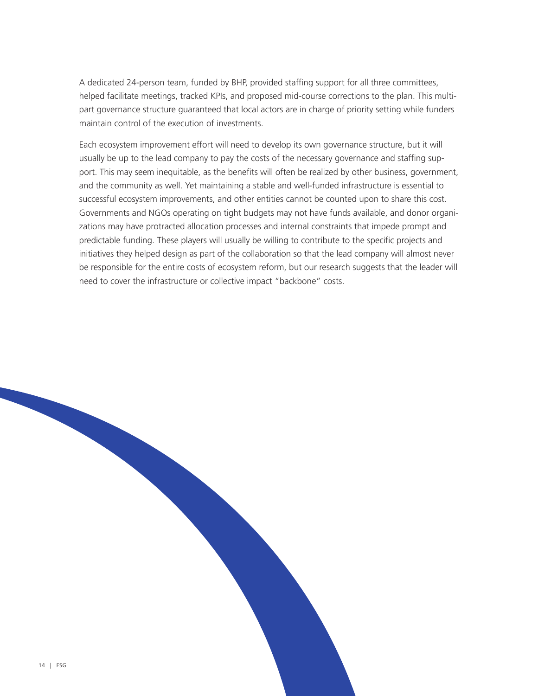A dedicated 24-person team, funded by BHP, provided staffing support for all three committees, helped facilitate meetings, tracked KPIs, and proposed mid-course corrections to the plan. This multipart governance structure guaranteed that local actors are in charge of priority setting while funders maintain control of the execution of investments.

Each ecosystem improvement effort will need to develop its own governance structure, but it will usually be up to the lead company to pay the costs of the necessary governance and staffing support. This may seem inequitable, as the benefits will often be realized by other business, government, and the community as well. Yet maintaining a stable and well-funded infrastructure is essential to successful ecosystem improvements, and other entities cannot be counted upon to share this cost. Governments and NGOs operating on tight budgets may not have funds available, and donor organizations may have protracted allocation processes and internal constraints that impede prompt and predictable funding. These players will usually be willing to contribute to the specific projects and initiatives they helped design as part of the collaboration so that the lead company will almost never be responsible for the entire costs of ecosystem reform, but our research suggests that the leader will need to cover the infrastructure or collective impact "backbone" costs.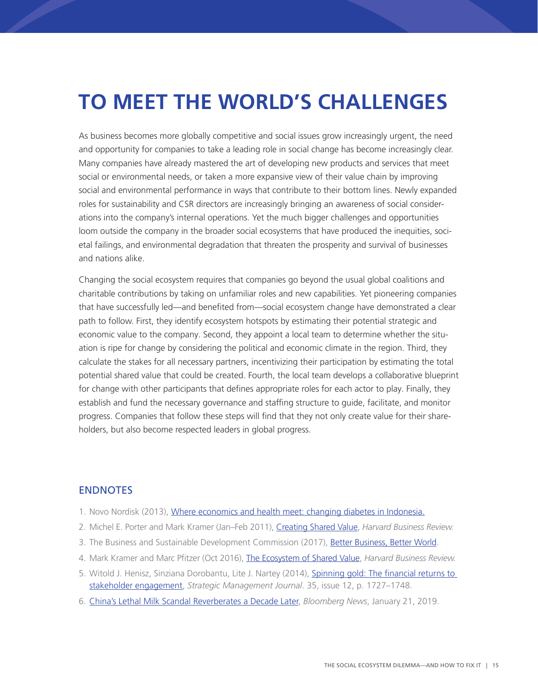# **TO MEET THE WORLD'S CHALLENGES**

As business becomes more globally competitive and social issues grow increasingly urgent, the need and opportunity for companies to take a leading role in social change has become increasingly clear. Many companies have already mastered the art of developing new products and services that meet social or environmental needs, or taken a more expansive view of their value chain by improving social and environmental performance in ways that contribute to their bottom lines. Newly expanded roles for sustainability and CSR directors are increasingly bringing an awareness of social considerations into the company's internal operations. Yet the much bigger challenges and opportunities loom outside the company in the broader social ecosystems that have produced the inequities, societal failings, and environmental degradation that threaten the prosperity and survival of businesses and nations alike.

Changing the social ecosystem requires that companies go beyond the usual global coalitions and charitable contributions by taking on unfamiliar roles and new capabilities. Yet pioneering companies that have successfully led—and benefited from—social ecosystem change have demonstrated a clear path to follow. First, they identify ecosystem hotspots by estimating their potential strategic and economic value to the company. Second, they appoint a local team to determine whether the situation is ripe for change by considering the political and economic climate in the region. Third, they calculate the stakes for all necessary partners, incentivizing their participation by estimating the total potential shared value that could be created. Fourth, the local team develops a collaborative blueprint for change with other participants that defines appropriate roles for each actor to play. Finally, they establish and fund the necessary governance and staffing structure to guide, facilitate, and monitor progress. Companies that follow these steps will find that they not only create value for their shareholders, but also become respected leaders in global progress.

#### **ENDNOTES**

- 1. Novo Nordisk (2013), [Where economics and health meet: changing diabetes in Indonesia.](https://www.novonordisk.com/content/dam/Denmark/HQ/sustainablebusiness/performance-on-tbl/more-about-how-we-work/Creating%20shared%20value/PDF/blueprint-changing-diabetes-in-indonesia.pdf)
- 2. Michel E. Porter and Mark Kramer (Jan–Feb 2011), [Creating Shared Value](https://www.fsg.org/downloads?url=https%3A//hbr.org/2011/01/the-big-idea-creating-shared-value&nid=1601&cmpn=70170000000ffRXAAY), *Harvard Business Review.*
- 3. The Business and Sustainable Development Commission (2017), [Better Business, Better World](http://report.businesscommission.org/report).
- 4. Mark Kramer and Marc Pfitzer (Oct 2016), [The Ecosystem of Shared Value](https://www.fsg.org/downloads?url=https%3A//hbr.org/2016/10/the-ecosystem-of-shared-value&nid=11911&cmpn=70170000001Pd2YAAS), *Harvard Business Review.*
- 5. Witold J. Henisz, Sinziana Dorobantu, Lite J. Nartey (2014), Spinning gold: The financial returns to [stakeholder engagement,](https://onlinelibrary.wiley.com/doi/abs/10.1002/smj.2180) *Strategic Management Journal*. 35, issue 12, p. 1727–1748.
- 6. [China's Lethal Milk Scandal Reverberates a Decade Later,](https://www.bloomberg.com/news/articles/2019-01-21/china-s-lethal-milk-scandal-reverberates-a-decade-later) *Bloomberg News*, January 21, 2019.